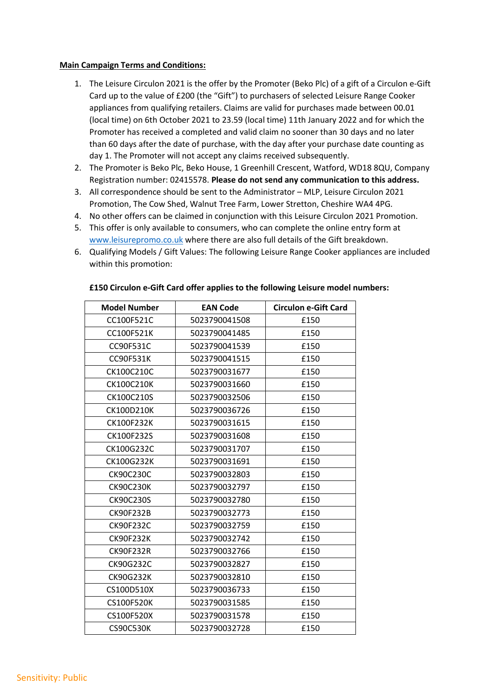## **Main Campaign Terms and Conditions:**

- 1. The Leisure Circulon 2021 is the offer by the Promoter (Beko Plc) of a gift of a Circulon e-Gift Card up to the value of £200 (the "Gift") to purchasers of selected Leisure Range Cooker appliances from qualifying retailers. Claims are valid for purchases made between 00.01 (local time) on 6th October 2021 to 23.59 (local time) 11th January 2022 and for which the Promoter has received a completed and valid claim no sooner than 30 days and no later than 60 days after the date of purchase, with the day after your purchase date counting as day 1. The Promoter will not accept any claims received subsequently.
- 2. The Promoter is Beko Plc, Beko House, 1 Greenhill Crescent, Watford, WD18 8QU, Company Registration number: 02415578. **Please do not send any communication to this address.**
- 3. All correspondence should be sent to the Administrator MLP, Leisure Circulon 2021 Promotion, The Cow Shed, Walnut Tree Farm, Lower Stretton, Cheshire WA4 4PG.
- 4. No other offers can be claimed in conjunction with this Leisure Circulon 2021 Promotion.
- 5. This offer is only available to consumers, who can complete the online entry form at [www.leisurepromo.co.uk](http://www.leisurepromo.co.uk/) where there are also full details of the Gift breakdown.
- 6. Qualifying Models / Gift Values: The following Leisure Range Cooker appliances are included within this promotion:

| <b>Model Number</b> | <b>EAN Code</b> | <b>Circulon e-Gift Card</b> |
|---------------------|-----------------|-----------------------------|
| CC100F521C          | 5023790041508   | £150                        |
| CC100F521K          | 5023790041485   | £150                        |
| CC90F531C           | 5023790041539   | £150                        |
| CC90F531K           | 5023790041515   | £150                        |
| CK100C210C          | 5023790031677   | £150                        |
| CK100C210K          | 5023790031660   | £150                        |
| CK100C210S          | 5023790032506   | £150                        |
| CK100D210K          | 5023790036726   | £150                        |
| CK100F232K          | 5023790031615   | £150                        |
| CK100F232S          | 5023790031608   | £150                        |
| CK100G232C          | 5023790031707   | £150                        |
| CK100G232K          | 5023790031691   | £150                        |
| <b>CK90C230C</b>    | 5023790032803   | £150                        |
| <b>CK90C230K</b>    | 5023790032797   | £150                        |
| <b>CK90C230S</b>    | 5023790032780   | £150                        |
| <b>CK90F232B</b>    | 5023790032773   | £150                        |
| <b>CK90F232C</b>    | 5023790032759   | £150                        |
| <b>CK90F232K</b>    | 5023790032742   | £150                        |
| <b>CK90F232R</b>    | 5023790032766   | £150                        |
| CK90G232C           | 5023790032827   | £150                        |
| <b>CK90G232K</b>    | 5023790032810   | £150                        |
| CS100D510X          | 5023790036733   | £150                        |
| CS100F520K          | 5023790031585   | £150                        |
| CS100F520X          | 5023790031578   | £150                        |
| <b>CS90C530K</b>    | 5023790032728   | £150                        |

## **£150 Circulon e-Gift Card offer applies to the following Leisure model numbers:**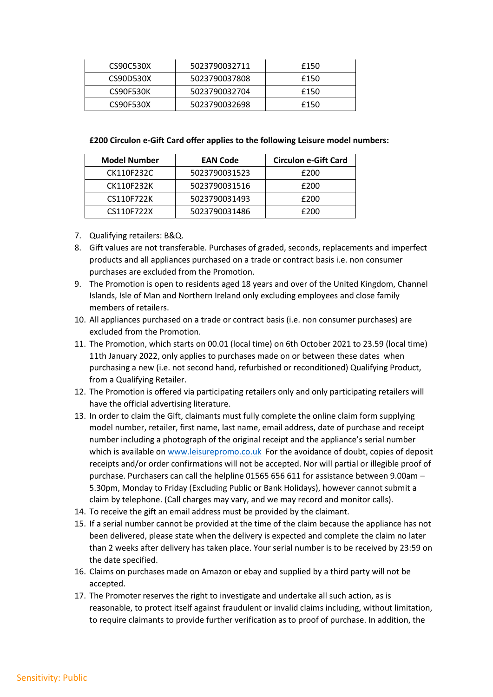| CS90C530X        | 5023790032711 | £150 |
|------------------|---------------|------|
| CS90D530X        | 5023790037808 | £150 |
| <b>CS90F530K</b> | 5023790032704 | £150 |
| CS90F530X        | 5023790032698 | £150 |

## **£200 Circulon e-Gift Card offer applies to the following Leisure model numbers:**

| <b>Model Number</b> | <b>EAN Code</b> | <b>Circulon e-Gift Card</b> |
|---------------------|-----------------|-----------------------------|
| CK110F232C          | 5023790031523   | £200                        |
| CK110F232K          | 5023790031516   | £200                        |
| CS110F722K          | 5023790031493   | £200                        |
| CS110F722X          | 5023790031486   | £200                        |

- 7. Qualifying retailers: B&Q.
- 8. Gift values are not transferable. Purchases of graded, seconds, replacements and imperfect products and all appliances purchased on a trade or contract basis i.e. non consumer purchases are excluded from the Promotion.
- 9. The Promotion is open to residents aged 18 years and over of the United Kingdom, Channel Islands, Isle of Man and Northern Ireland only excluding employees and close family members of retailers.
- 10. All appliances purchased on a trade or contract basis (i.e. non consumer purchases) are excluded from the Promotion.
- 11. The Promotion, which starts on 00.01 (local time) on 6th October 2021 to 23.59 (local time) 11th January 2022, only applies to purchases made on or between these dates when purchasing a new (i.e. not second hand, refurbished or reconditioned) Qualifying Product, from a Qualifying Retailer.
- 12. The Promotion is offered via participating retailers only and only participating retailers will have the official advertising literature.
- 13. In order to claim the Gift, claimants must fully complete the online claim form supplying model number, retailer, first name, last name, email address, date of purchase and receipt number including a photograph of the original receipt and the appliance's serial number which is available o[n www.leisurepromo.co.uk](http://www.leisurepromo.co.uk/) For the avoidance of doubt, copies of deposit receipts and/or order confirmations will not be accepted. Nor will partial or illegible proof of purchase. Purchasers can call the helpline 01565 656 611 for assistance between 9.00am – 5.30pm, Monday to Friday (Excluding Public or Bank Holidays), however cannot submit a claim by telephone. (Call charges may vary, and we may record and monitor calls).
- 14. To receive the gift an email address must be provided by the claimant.
- 15. If a serial number cannot be provided at the time of the claim because the appliance has not been delivered, please state when the delivery is expected and complete the claim no later than 2 weeks after delivery has taken place. Your serial number is to be received by 23:59 on the date specified.
- 16. Claims on purchases made on Amazon or ebay and supplied by a third party will not be accepted.
- 17. The Promoter reserves the right to investigate and undertake all such action, as is reasonable, to protect itself against fraudulent or invalid claims including, without limitation, to require claimants to provide further verification as to proof of purchase. In addition, the